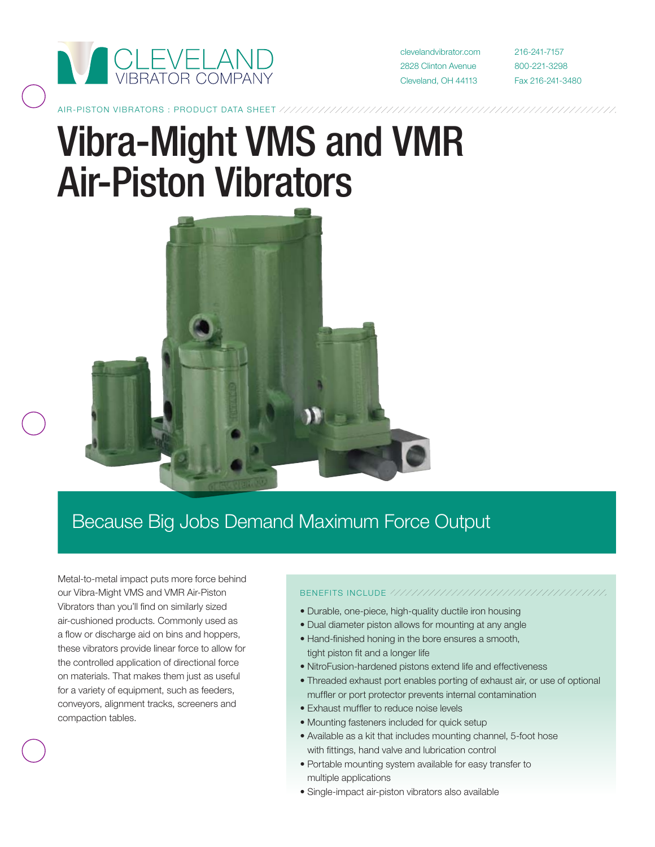

clevelandvibrator.com 2828 Clinton Avenue Cleveland, OH 44113

216-241-7157 800-221-3298 Fax 216-241-3480

# Vibra-Might VMS and VMR Air-Piston Vibrators



### Because Big Jobs Demand Maximum Force Output

Metal-to-metal impact puts more force behind our Vibra-Might VMS and VMR Air-Piston Vibrators than you'll find on similarly sized air-cushioned products. Commonly used as a flow or discharge aid on bins and hoppers, these vibrators provide linear force to allow for the controlled application of directional force on materials. That makes them just as useful for a variety of equipment, such as feeders, conveyors, alignment tracks, screeners and compaction tables.

#### benefits include

- Durable, one-piece, high-quality ductile iron housing
- Dual diameter piston allows for mounting at any angle
- Hand-finished honing in the bore ensures a smooth, tight piston fit and a longer life
- NitroFusion-hardened pistons extend life and effectiveness
- Threaded exhaust port enables porting of exhaust air, or use of optional muffler or port protector prevents internal contamination
- Exhaust muffler to reduce noise levels
- Mounting fasteners included for quick setup
- Available as a kit that includes mounting channel, 5-foot hose with fittings, hand valve and lubrication control
- Portable mounting system available for easy transfer to multiple applications
- Single-impact air-piston vibrators also available